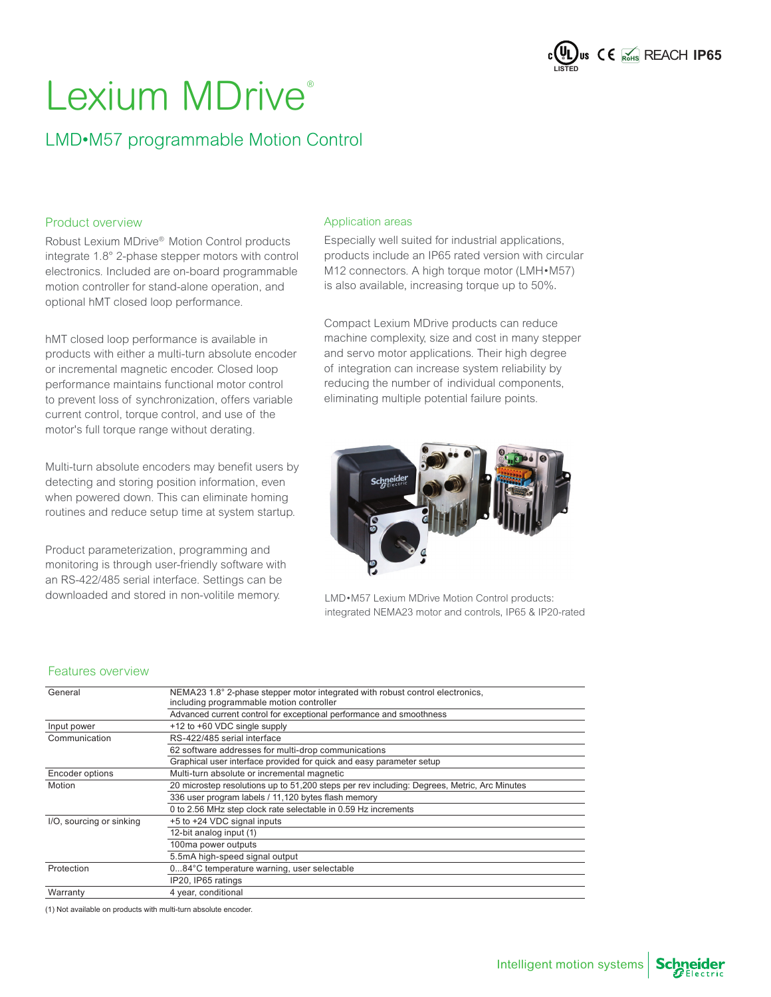

### LMD•M57 programmable Motion Control

#### Product overview

Robust Lexium MDrive® Motion Control products integrate 1.8° 2-phase stepper motors with control electronics. Included are on-board programmable motion controller for stand-alone operation, and optional hMT closed loop performance.

hMT closed loop performance is available in products with either a multi-turn absolute encoder or incremental magnetic encoder. Closed loop performance maintains functional motor control to prevent loss of synchronization, offers variable current control, torque control, and use of the motor's full torque range without derating.

Multi-turn absolute encoders may benefit users by detecting and storing position information, even when powered down. This can eliminate homing routines and reduce setup time at system startup.

Product parameterization, programming and monitoring is through user-friendly software with an RS-422/485 serial interface. Settings can be downloaded and stored in non-volitile memory.

#### Application areas

Especially well suited for industrial applications, products include an IP65 rated version with circular M12 connectors. A high torque motor (LMH•M57) is also available, increasing torque up to 50%.

Compact Lexium MDrive products can reduce machine complexity, size and cost in many stepper and servo motor applications. Their high degree of integration can increase system reliability by reducing the number of individual components, eliminating multiple potential failure points.



LMD•M57 Lexium MDrive Motion Control products: integrated NEMA23 motor and controls, IP65 & IP20-rated

#### Features overview

| General                  | NEMA23 1.8° 2-phase stepper motor integrated with robust control electronics,<br>including programmable motion controller |
|--------------------------|---------------------------------------------------------------------------------------------------------------------------|
|                          | Advanced current control for exceptional performance and smoothness                                                       |
| Input power              | +12 to +60 VDC single supply                                                                                              |
| Communication            | RS-422/485 serial interface                                                                                               |
|                          | 62 software addresses for multi-drop communications                                                                       |
|                          | Graphical user interface provided for quick and easy parameter setup                                                      |
| Encoder options          | Multi-turn absolute or incremental magnetic                                                                               |
| Motion                   | 20 microstep resolutions up to 51,200 steps per rev including: Degrees, Metric, Arc Minutes                               |
|                          | 336 user program labels / 11,120 bytes flash memory                                                                       |
|                          | 0 to 2.56 MHz step clock rate selectable in 0.59 Hz increments                                                            |
| I/O, sourcing or sinking | +5 to +24 VDC signal inputs                                                                                               |
|                          | 12-bit analog input (1)                                                                                                   |
|                          | 100ma power outputs                                                                                                       |
|                          | 5.5mA high-speed signal output                                                                                            |
| Protection               | 084°C temperature warning, user selectable                                                                                |
|                          | IP20, IP65 ratings                                                                                                        |
| Warranty                 | 4 year, conditional                                                                                                       |

(1) Not available on products with multi-turn absolute encoder.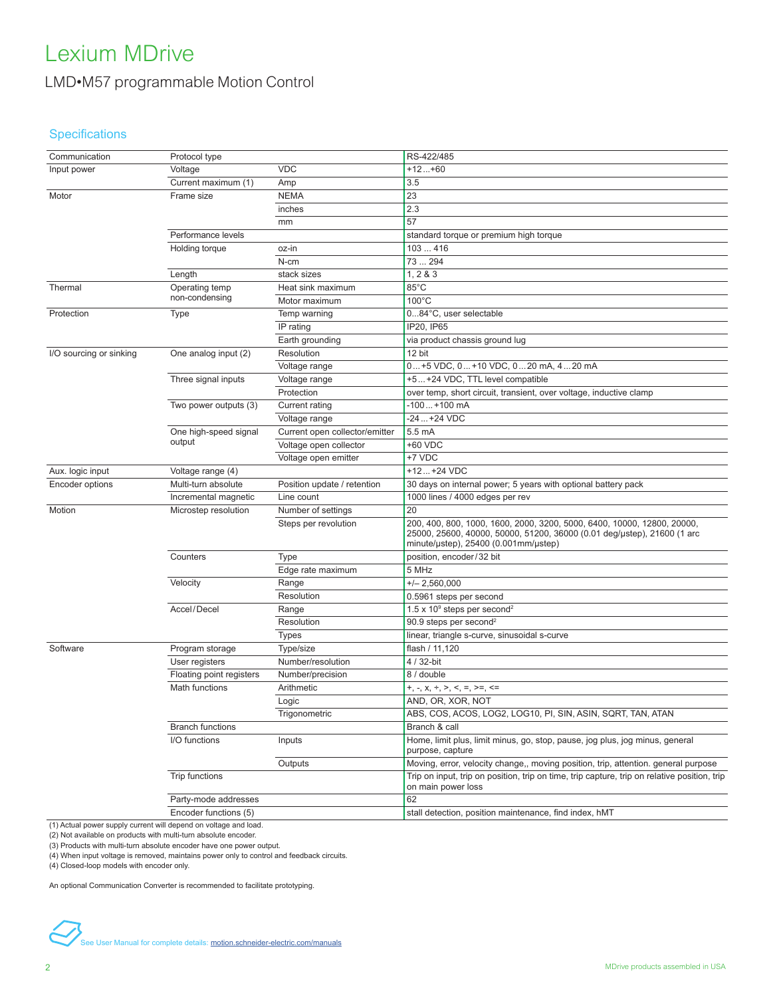#### LMD•M57 programmable Motion Control

#### Specifications

| Communication           | Protocol type            |                                | RS-422/485                                                                                                                                                                                 |
|-------------------------|--------------------------|--------------------------------|--------------------------------------------------------------------------------------------------------------------------------------------------------------------------------------------|
| Input power             | Voltage                  | <b>VDC</b>                     | $+12+60$                                                                                                                                                                                   |
|                         | Current maximum (1)      | Amp                            | 3.5                                                                                                                                                                                        |
| Motor                   | Frame size               | <b>NEMA</b>                    | 23                                                                                                                                                                                         |
|                         |                          | inches                         | 2.3                                                                                                                                                                                        |
|                         |                          | mm                             | 57                                                                                                                                                                                         |
|                         | Performance levels       |                                | standard torque or premium high torque                                                                                                                                                     |
|                         | Holding torque           | oz-in                          | 103416                                                                                                                                                                                     |
|                         |                          | N-cm                           | 73294                                                                                                                                                                                      |
|                         | Length                   | stack sizes                    | 1, 283                                                                                                                                                                                     |
| Thermal                 | Operating temp           | Heat sink maximum              | 85°C                                                                                                                                                                                       |
|                         | non-condensing           | Motor maximum                  | $100^{\circ}$ C                                                                                                                                                                            |
| Protection              | <b>Type</b>              | Temp warning                   | 084°C, user selectable                                                                                                                                                                     |
|                         |                          | IP rating                      | IP20, IP65                                                                                                                                                                                 |
|                         |                          | Earth grounding                | via product chassis ground lug                                                                                                                                                             |
| I/O sourcing or sinking | One analog input (2)     | Resolution                     | 12 bit                                                                                                                                                                                     |
|                         |                          | Voltage range                  | 0+5 VDC, 0+10 VDC, 020 mA, 420 mA                                                                                                                                                          |
|                         | Three signal inputs      | Voltage range                  | +5 +24 VDC, TTL level compatible                                                                                                                                                           |
|                         |                          | Protection                     | over temp, short circuit, transient, over voltage, inductive clamp                                                                                                                         |
|                         | Two power outputs (3)    | Current rating                 | -100+100 mA                                                                                                                                                                                |
|                         |                          | Voltage range                  | -24  +24 VDC                                                                                                                                                                               |
|                         | One high-speed signal    | Current open collector/emitter | 5.5 mA                                                                                                                                                                                     |
|                         | output                   | Voltage open collector         | +60 VDC                                                                                                                                                                                    |
|                         |                          | Voltage open emitter           | +7 VDC                                                                                                                                                                                     |
| Aux. logic input        | Voltage range (4)        |                                | $+12+24$ VDC                                                                                                                                                                               |
| Encoder options         | Multi-turn absolute      | Position update / retention    | 30 days on internal power; 5 years with optional battery pack                                                                                                                              |
|                         | Incremental magnetic     | Line count                     | 1000 lines / 4000 edges per rev                                                                                                                                                            |
| Motion                  | Microstep resolution     | Number of settings             | 20                                                                                                                                                                                         |
|                         |                          | Steps per revolution           | 200, 400, 800, 1000, 1600, 2000, 3200, 5000, 6400, 10000, 12800, 20000,<br>25000, 25600, 40000, 50000, 51200, 36000 (0.01 deg/ustep), 21600 (1 arc<br>minute/ustep), 25400 (0.001mm/ustep) |
|                         | Counters                 | Type                           | position, encoder/32 bit                                                                                                                                                                   |
|                         |                          | Edge rate maximum              | 5 MHz                                                                                                                                                                                      |
|                         | Velocity                 | Range                          | $+/- 2,560,000$                                                                                                                                                                            |
|                         |                          | Resolution                     | 0.5961 steps per second                                                                                                                                                                    |
|                         | Accel/Decel              | Range                          | 1.5 x $10^9$ steps per second <sup>2</sup>                                                                                                                                                 |
|                         |                          | Resolution                     | 90.9 steps per second <sup>2</sup>                                                                                                                                                         |
|                         |                          | <b>Types</b>                   | linear, triangle s-curve, sinusoidal s-curve                                                                                                                                               |
| Software                | Program storage          | Type/size                      | flash / 11,120                                                                                                                                                                             |
|                         | User registers           | Number/resolution              | 4 / 32-bit                                                                                                                                                                                 |
|                         | Floating point registers | Number/precision               | 8 / double                                                                                                                                                                                 |
|                         | Math functions           | Arithmetic                     | +, -, x, +, >, <, =, >=, <=                                                                                                                                                                |
|                         |                          | Logic                          | AND, OR, XOR, NOT                                                                                                                                                                          |
|                         |                          | Trigonometric                  | ABS, COS, ACOS, LOG2, LOG10, PI, SIN, ASIN, SQRT, TAN, ATAN                                                                                                                                |
|                         | <b>Branch functions</b>  |                                | Branch & call                                                                                                                                                                              |
|                         | I/O functions            | Inputs                         | Home, limit plus, limit minus, go, stop, pause, jog plus, jog minus, general<br>purpose, capture                                                                                           |
|                         |                          | Outputs                        | Moving, error, velocity change,, moving position, trip, attention. general purpose                                                                                                         |
|                         | Trip functions           |                                | Trip on input, trip on position, trip on time, trip capture, trip on relative position, trip<br>on main power loss                                                                         |
|                         | Party-mode addresses     |                                | 62                                                                                                                                                                                         |
|                         | Encoder functions (5)    |                                | stall detection, position maintenance, find index, hMT                                                                                                                                     |
|                         |                          |                                |                                                                                                                                                                                            |

(1) Actual power supply current will depend on voltage and load. (2) Not available on products with multi-turn absolute encoder. (3) Products with multi-turn absolute encoder have one power output.

(4) When input voltage is removed, maintains power only to control and feedback circuits.

(4) Closed-loop models with encoder only.

An optional Communication Converter is recommended to facilitate prototyping.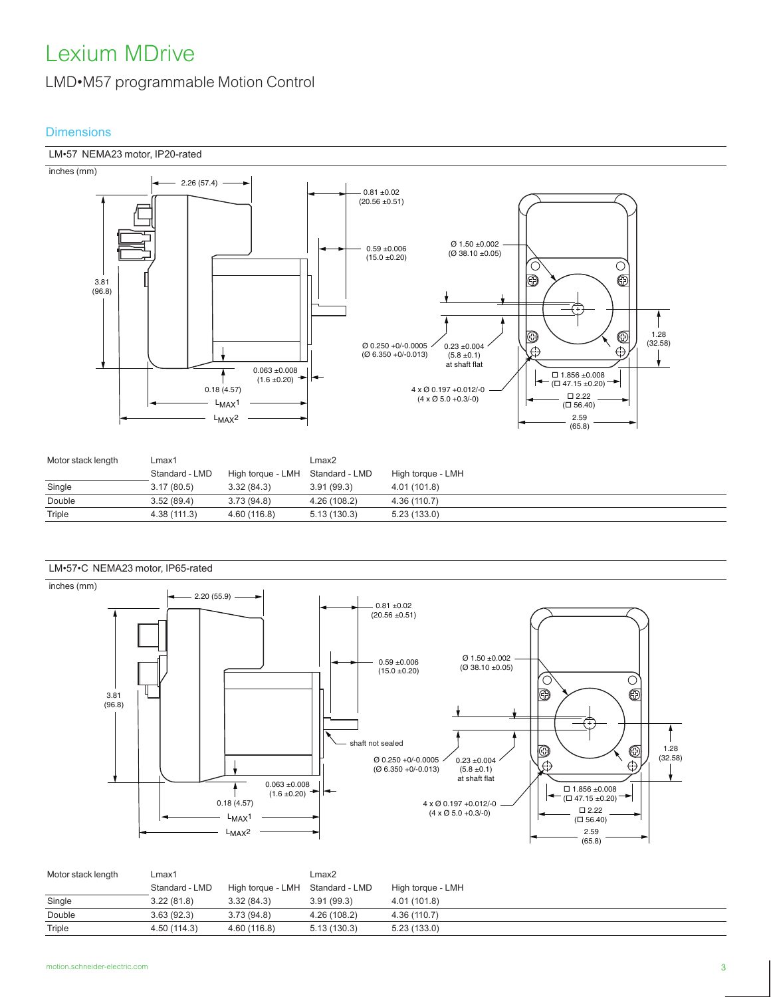#### LMD•M57 programmable Motion Control

#### **Dimensions**



| Motor stack length | Lmax1          |                                  | Lmax2        |                   |
|--------------------|----------------|----------------------------------|--------------|-------------------|
|                    | Standard - LMD | High torque - LMH Standard - LMD |              | High torque - LMH |
| Single             | 3.17(80.5)     | 3.32(84.3)                       | 3.91(99.3)   | 4.01 (101.8)      |
| Double             | 3.52(89.4)     | 3.73(94.8)                       | 4.26 (108.2) | 4.36 (110.7)      |
| Triple             | 4.38 (111.3)   | 4.60 (116.8)                     | 5.13(130.3)  | 5.23(133.0)       |



| Motor stack length | Lmax1          |                                  | Lmax2        |                   |
|--------------------|----------------|----------------------------------|--------------|-------------------|
|                    | Standard - LMD | High torque - LMH Standard - LMD |              | High torque - LMH |
| Single             | 3.22(81.8)     | 3.32(84.3)                       | 3.91(99.3)   | 4.01 (101.8)      |
| Double             | 3.63(92.3)     | 3.73(94.8)                       | 4.26 (108.2) | 4.36 (110.7)      |
| Triple             | 4.50 (114.3)   | 4.60 (116.8)                     | 5.13(130.3)  | 5.23(133.0)       |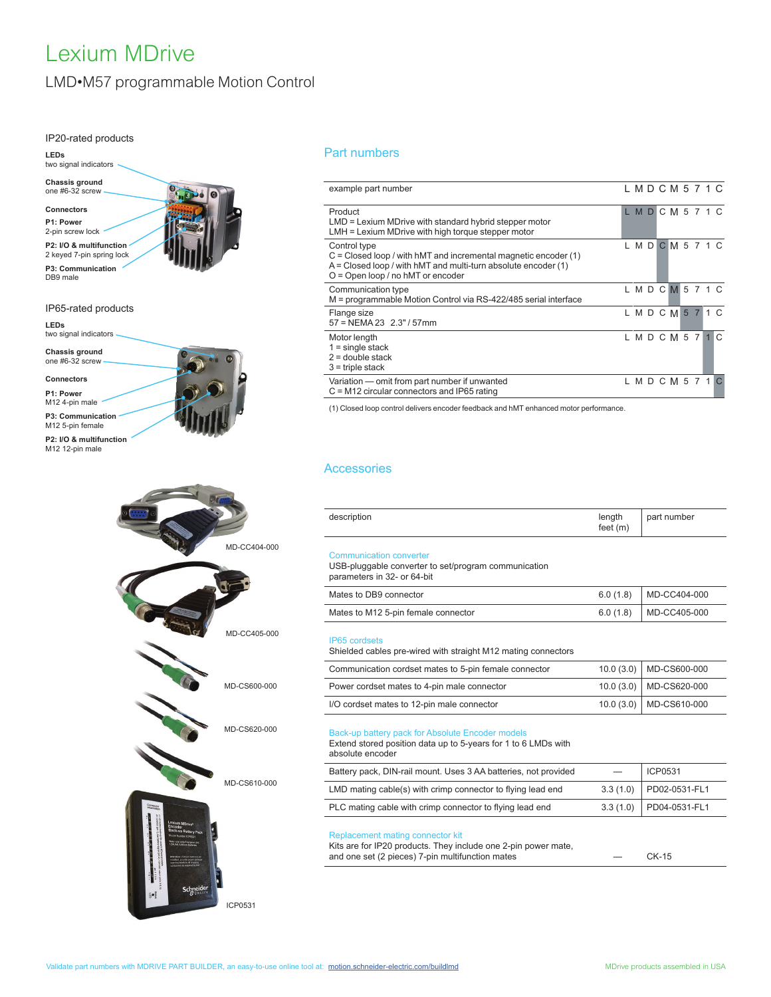### LMD•M57 programmable Motion Control

 $\omega$ 

#### IP20-rated products

**LEDs**



**P3: Communication** DB9 male

#### IP65-rated products

**LEDs** two signal indicators

**Chassis ground** one #6-32 screw

**Connectors P1: Power**

M12 4-pin male

**P3: Communication** M12 5-pin female

**P2: I/O & multifunction** M<sub>12</sub> 12-pin male

> MD-CC404-000 MD-CC405-000 MD-CS600-000 MD-CS620-000 MD-CS610-000 Schneide ICP0531

#### Part numbers

| example part number                                                                                                                                                                          |  |  | L M D C M 5 7 1 C |  |          |
|----------------------------------------------------------------------------------------------------------------------------------------------------------------------------------------------|--|--|-------------------|--|----------|
| Product<br>$LMD =$ Lexium MDrive with standard hybrid stepper motor<br>LMH = Lexium MDrive with high torque stepper motor                                                                    |  |  | LMDCM571C         |  |          |
| Control type<br>$C = Closed$ loop / with hMT and incremental magnetic encoder (1)<br>$A = Closed$ loop / with hMT and multi-turn absolute encoder (1)<br>$O =$ Open loop / no hMT or encoder |  |  | LMDCM571C         |  |          |
| Communication type<br>M = programmable Motion Control via RS-422/485 serial interface                                                                                                        |  |  | LMDCM571C         |  |          |
| Flange size<br>$57 = NEMA 23$ 2.3" / 57mm                                                                                                                                                    |  |  | LMDCM571C         |  |          |
| Motor length<br>$1 =$ single stack<br>$2 =$ double stack<br>$3$ = triple stack                                                                                                               |  |  | LMDCM57           |  | $1 \, C$ |
| Variation - omit from part number if unwanted<br>$C = M12$ circular connectors and IP65 rating                                                                                               |  |  | L M D C M 5 7 1   |  |          |

(1) Closed loop control delivers encoder feedback and hMT enhanced motor performance.

#### **Accessories**

| description                                                                                                           | length<br>feet $(m)$ | part number |
|-----------------------------------------------------------------------------------------------------------------------|----------------------|-------------|
| <b>Communication converter</b><br>USB-pluggable converter to set/program communication<br>parameters in 32- or 64-bit |                      |             |

| Mates to DB9 connector              | $6.0(1.8)$ MD-CC404-000 |
|-------------------------------------|-------------------------|
| Mates to M12 5-pin female connector | $6.0(1.8)$ MD-CC405-000 |

#### IP65 cordsets

Shielded cables pre-wired with straight M12 mating connectors

| Communication cordset mates to 5-pin female connector | $10.0(3.0)$ MD-CS600-000  |
|-------------------------------------------------------|---------------------------|
| Power cordset mates to 4-pin male connector           | 10.0 (3.0)   MD-CS620-000 |
| I/O cordset mates to 12-pin male connector            | 10.0 (3.0) MD-CS610-000   |

#### Back-up battery pack for Absolute Encoder models

Extend stored position data up to 5-years for 1 to 6 LMDs with absolute encoder

| ansolate cripped                                                |                         |
|-----------------------------------------------------------------|-------------------------|
| Battery pack, DIN-rail mount. Uses 3 AA batteries, not provided | ICP0531                 |
| LMD mating cable(s) with crimp connector to flying lead end     | 3.3 (1.0) PD02-0531-FL1 |
| PLC mating cable with crimp connector to flying lead end        | 3.3 (1.0) PD04-0531-FL1 |

#### Replacement mating connector kit

Kits are for IP20 products. They include one 2-pin power mate, and one set (2 pieces) 7-pin multifunction mates — CK-15